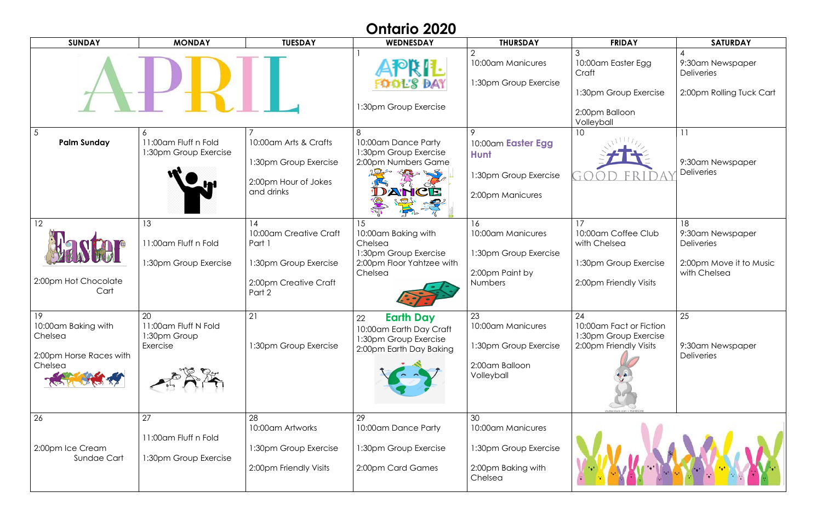| <b>Ontario 2020</b>                                                        |                                                        |                                                                                                    |                                                                                                       |                                                                                   |                                                                                              |                                                                                        |
|----------------------------------------------------------------------------|--------------------------------------------------------|----------------------------------------------------------------------------------------------------|-------------------------------------------------------------------------------------------------------|-----------------------------------------------------------------------------------|----------------------------------------------------------------------------------------------|----------------------------------------------------------------------------------------|
| <b>SUNDAY</b>                                                              | <b>MONDAY</b>                                          | <b>TUESDAY</b>                                                                                     | WEDNESDAY                                                                                             | <b>THURSDAY</b>                                                                   | <b>FRIDAY</b>                                                                                | <b>SATURDAY</b>                                                                        |
|                                                                            |                                                        |                                                                                                    | APRIL<br>Fools day<br>1:30pm Group Exercise                                                           | 10:00am Manicures<br>1:30pm Group Exercise                                        | 10:00am Easter Egg<br>Craft<br>1:30pm Group Exercise<br>2:00pm Balloon<br>Volleyball         | 9:30am Newspaper<br><b>Deliveries</b><br>2:00pm Rolling Tuck Cart                      |
| $\overline{5}$<br><b>Palm Sunday</b>                                       | 6<br>11:00am Fluff n Fold<br>1:30pm Group Exercise     | 10:00am Arts & Crafts<br>1:30pm Group Exercise<br>2:00pm Hour of Jokes<br>and drinks               | 8<br>10:00am Dance Party<br>1:30pm Group Exercise<br>2:00pm Numbers Game<br>DANCE                     | 10:00am Easter Egg<br><b>Hunt</b><br>1:30pm Group Exercise<br>2:00pm Manicures    | 10                                                                                           | 9:30am Newspaper<br><b>Deliveries</b>                                                  |
| 12<br>2:00pm Hot Chocolate<br>Cart                                         | 13<br>11:00am Fluff n Fold<br>1:30pm Group Exercise    | 14<br>10:00am Creative Craft<br>Part 1<br>1:30pm Group Exercise<br>2:00pm Creative Craft<br>Part 2 | 15<br>10:00am Baking with<br>Chelsea<br>1:30pm Group Exercise<br>2:00pm Floor Yahtzee with<br>Chelsea | 16<br>10:00am Manicures<br>1:30pm Group Exercise<br>2:00pm Paint by<br>Numbers    | 17<br>10:00am Coffee Club<br>with Chelsea<br>1:30pm Group Exercise<br>2:00pm Friendly Visits | 18<br>9:30am Newspaper<br><b>Deliveries</b><br>2:00pm Move it to Music<br>with Chelsea |
| 19<br>10:00am Baking with<br>Chelsea<br>2:00pm Horse Races with<br>Chelsea | 20<br>11:00am Fluff N Fold<br>1:30pm Group<br>Exercise | 21<br>1:30pm Group Exercise                                                                        | <b>Earth Day</b><br>22<br>10:00am Earth Day Craft<br>1:30pm Group Exercise<br>2:00pm Earth Day Baking | 23<br>10:00am Manicures<br>1:30pm Group Exercise<br>2:00am Balloon<br>Volleyball  | 24<br>10:00am Fact or Fiction<br>1:30pm Group Exercise<br>2:00pm Friendly Visits             | 25<br>9:30am Newspaper<br><b>Deliveries</b>                                            |
| 26<br>2:00pm Ice Cream<br>Sundae Cart                                      | 27<br>11:00am Fluff n Fold<br>1:30pm Group Exercise    | 28<br>10:00am Artworks<br>1:30pm Group Exercise<br>2:00pm Friendly Visits                          | 29<br>10:00am Dance Party<br>1:30pm Group Exercise<br>2:00pm Card Games                               | 30<br>10:00am Manicures<br>1:30pm Group Exercise<br>2:00pm Baking with<br>Chelsea |                                                                                              |                                                                                        |